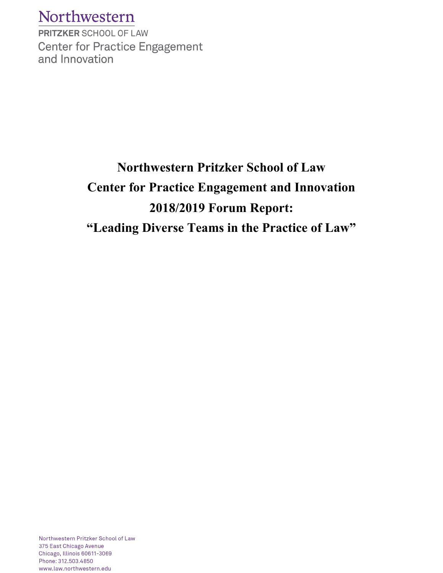## Northwestern

**PRITZKER SCHOOL OF LAW Center for Practice Engagement** and Innovation

# **Northwestern Pritzker School of Law Center for Practice Engagement and Innovation 2018/2019 Forum Report: "Leading Diverse Teams in the Practice of Law"**

Northwestern Pritzker School of Law 375 East Chicago Avenue Chicago, Illinois 60611-3069 Phone: 312.503.4850 www.law.northwestern.edu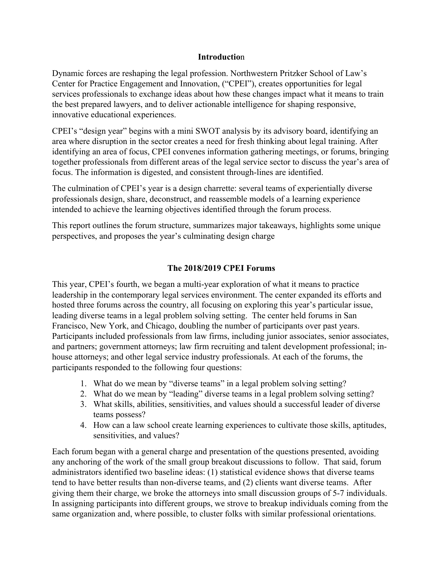#### **Introductio**n

Dynamic forces are reshaping the legal profession. Northwestern Pritzker School of Law's Center for Practice Engagement and Innovation, ("CPEI"), creates opportunities for legal services professionals to exchange ideas about how these changes impact what it means to train the best prepared lawyers, and to deliver actionable intelligence for shaping responsive, innovative educational experiences.

CPEI's "design year" begins with a mini SWOT analysis by its advisory board, identifying an area where disruption in the sector creates a need for fresh thinking about legal training. After identifying an area of focus, CPEI convenes information gathering meetings, or forums, bringing together professionals from different areas of the legal service sector to discuss the year's area of focus. The information is digested, and consistent through-lines are identified.

The culmination of CPEI's year is a design charrette: several teams of experientially diverse professionals design, share, deconstruct, and reassemble models of a learning experience intended to achieve the learning objectives identified through the forum process.

This report outlines the forum structure, summarizes major takeaways, highlights some unique perspectives, and proposes the year's culminating design charge

#### **The 2018/2019 CPEI Forums**

This year, CPEI's fourth, we began a multi-year exploration of what it means to practice leadership in the contemporary legal services environment. The center expanded its efforts and hosted three forums across the country, all focusing on exploring this year's particular issue, leading diverse teams in a legal problem solving setting. The center held forums in San Francisco, New York, and Chicago, doubling the number of participants over past years. Participants included professionals from law firms, including junior associates, senior associates, and partners; government attorneys; law firm recruiting and talent development professional; inhouse attorneys; and other legal service industry professionals. At each of the forums, the participants responded to the following four questions:

- 1. What do we mean by "diverse teams" in a legal problem solving setting?
- 2. What do we mean by "leading" diverse teams in a legal problem solving setting?
- 3. What skills, abilities, sensitivities, and values should a successful leader of diverse teams possess?
- 4. How can a law school create learning experiences to cultivate those skills, aptitudes, sensitivities, and values?

Each forum began with a general charge and presentation of the questions presented, avoiding any anchoring of the work of the small group breakout discussions to follow. That said, forum administrators identified two baseline ideas: (1) statistical evidence shows that diverse teams tend to have better results than non-diverse teams, and (2) clients want diverse teams. After giving them their charge, we broke the attorneys into small discussion groups of 5-7 individuals. In assigning participants into different groups, we strove to breakup individuals coming from the same organization and, where possible, to cluster folks with similar professional orientations.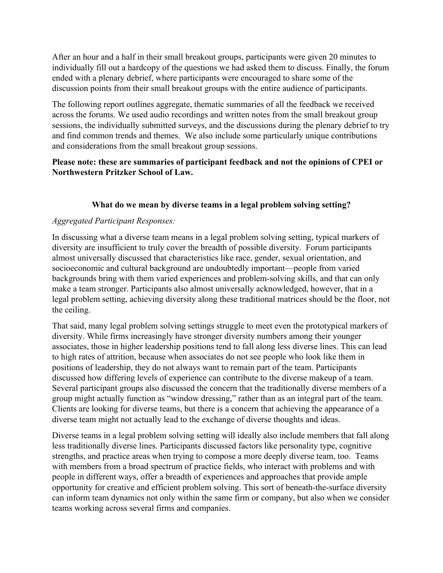After an hour and a half in their small breakout groups, participants were given 20 minutes to individually fill out a hardcopy of the questions we had asked them to discuss. Finally, the forum ended with a plenary debrief, where participants were encouraged to share some of the discussion points from their small breakout groups with the entire audience of participants.

The following report outlines aggregate, thematic summaries of all the feedback we received across the forums. We used audio recordings and written notes from the small breakout group sessions, the individually submitted surveys, and the discussions during the plenary debrief to try and find common trends and themes. We also include some particularly unique contributions and considerations from the small breakout group sessions.

### **Please note: these are summaries of participant feedback and not the opinions of CPEI or Northwestern Pritzker School of Law.**

### **What do we mean by diverse teams in a legal problem solving setting?**

#### *Aggregated Participant Responses:*

In discussing what a diverse team means in a legal problem solving setting, typical markers of diversity are insufficient to truly cover the breadth of possible diversity. Forum participants almost universally discussed that characteristics like race, gender, sexual orientation, and socioeconomic and cultural background are undoubtedly important—people from varied backgrounds bring with them varied experiences and problem-solving skills, and that can only make a team stronger. Participants also almost universally acknowledged, however, that in a legal problem setting, achieving diversity along these traditional matrices should be the floor, not the ceiling.

That said, many legal problem solving settings struggle to meet even the prototypical markers of diversity. While firms increasingly have stronger diversity numbers among their younger associates, those in higher leadership positions tend to fall along less diverse lines. This can lead to high rates of attrition, because when associates do not see people who look like them in positions of leadership, they do not always want to remain part of the team. Participants discussed how differing levels of experience can contribute to the diverse makeup of a team. Several participant groups also discussed the concern that the traditionally diverse members of a group might actually function as "window dressing," rather than as an integral part of the team. Clients are looking for diverse teams, but there is a concern that achieving the appearance of a diverse team might not actually lead to the exchange of diverse thoughts and ideas.

Diverse teams in a legal problem solving setting will ideally also include members that fall along less traditionally diverse lines. Participants discussed factors like personality type, cognitive strengths, and practice areas when trying to compose a more deeply diverse team, too. Teams with members from a broad spectrum of practice fields, who interact with problems and with people in different ways, offer a breadth of experiences and approaches that provide ample opportunity for creative and efficient problem solving. This sort of beneath-the-surface diversity can inform team dynamics not only within the same firm or company, but also when we consider teams working across several firms and companies.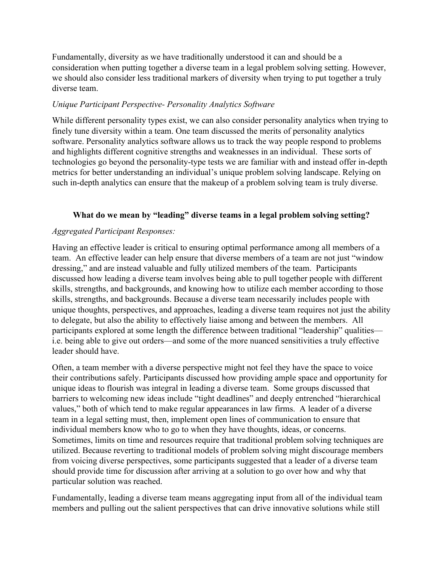Fundamentally, diversity as we have traditionally understood it can and should be a consideration when putting together a diverse team in a legal problem solving setting. However, we should also consider less traditional markers of diversity when trying to put together a truly diverse team.

#### *Unique Participant Perspective- Personality Analytics Software*

While different personality types exist, we can also consider personality analytics when trying to finely tune diversity within a team. One team discussed the merits of personality analytics software. Personality analytics software allows us to track the way people respond to problems and highlights different cognitive strengths and weaknesses in an individual. These sorts of technologies go beyond the personality-type tests we are familiar with and instead offer in-depth metrics for better understanding an individual's unique problem solving landscape. Relying on such in-depth analytics can ensure that the makeup of a problem solving team is truly diverse.

### **What do we mean by "leading" diverse teams in a legal problem solving setting?**

### *Aggregated Participant Responses:*

Having an effective leader is critical to ensuring optimal performance among all members of a team. An effective leader can help ensure that diverse members of a team are not just "window dressing," and are instead valuable and fully utilized members of the team. Participants discussed how leading a diverse team involves being able to pull together people with different skills, strengths, and backgrounds, and knowing how to utilize each member according to those skills, strengths, and backgrounds. Because a diverse team necessarily includes people with unique thoughts, perspectives, and approaches, leading a diverse team requires not just the ability to delegate, but also the ability to effectively liaise among and between the members. All participants explored at some length the difference between traditional "leadership" qualities i.e. being able to give out orders—and some of the more nuanced sensitivities a truly effective leader should have.

Often, a team member with a diverse perspective might not feel they have the space to voice their contributions safely. Participants discussed how providing ample space and opportunity for unique ideas to flourish was integral in leading a diverse team. Some groups discussed that barriers to welcoming new ideas include "tight deadlines" and deeply entrenched "hierarchical values," both of which tend to make regular appearances in law firms. A leader of a diverse team in a legal setting must, then, implement open lines of communication to ensure that individual members know who to go to when they have thoughts, ideas, or concerns. Sometimes, limits on time and resources require that traditional problem solving techniques are utilized. Because reverting to traditional models of problem solving might discourage members from voicing diverse perspectives, some participants suggested that a leader of a diverse team should provide time for discussion after arriving at a solution to go over how and why that particular solution was reached.

Fundamentally, leading a diverse team means aggregating input from all of the individual team members and pulling out the salient perspectives that can drive innovative solutions while still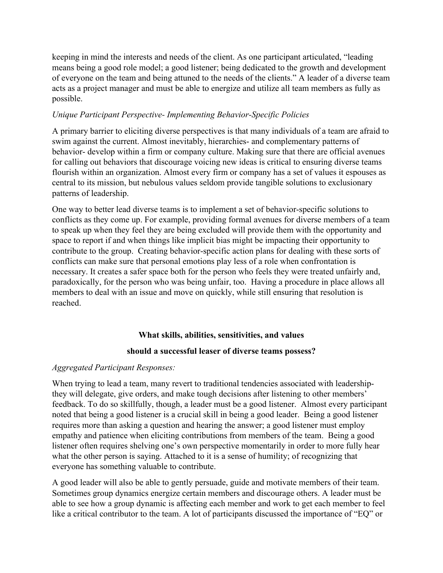keeping in mind the interests and needs of the client. As one participant articulated, "leading means being a good role model; a good listener; being dedicated to the growth and development of everyone on the team and being attuned to the needs of the clients." A leader of a diverse team acts as a project manager and must be able to energize and utilize all team members as fully as possible.

#### *Unique Participant Perspective- Implementing Behavior-Specific Policies*

A primary barrier to eliciting diverse perspectives is that many individuals of a team are afraid to swim against the current. Almost inevitably, hierarchies- and complementary patterns of behavior- develop within a firm or company culture. Making sure that there are official avenues for calling out behaviors that discourage voicing new ideas is critical to ensuring diverse teams flourish within an organization. Almost every firm or company has a set of values it espouses as central to its mission, but nebulous values seldom provide tangible solutions to exclusionary patterns of leadership.

One way to better lead diverse teams is to implement a set of behavior-specific solutions to conflicts as they come up. For example, providing formal avenues for diverse members of a team to speak up when they feel they are being excluded will provide them with the opportunity and space to report if and when things like implicit bias might be impacting their opportunity to contribute to the group. Creating behavior-specific action plans for dealing with these sorts of conflicts can make sure that personal emotions play less of a role when confrontation is necessary. It creates a safer space both for the person who feels they were treated unfairly and, paradoxically, for the person who was being unfair, too. Having a procedure in place allows all members to deal with an issue and move on quickly, while still ensuring that resolution is reached.

#### **What skills, abilities, sensitivities, and values**

#### **should a successful leaser of diverse teams possess?**

#### *Aggregated Participant Responses:*

When trying to lead a team, many revert to traditional tendencies associated with leadershipthey will delegate, give orders, and make tough decisions after listening to other members' feedback. To do so skillfully, though, a leader must be a good listener. Almost every participant noted that being a good listener is a crucial skill in being a good leader. Being a good listener requires more than asking a question and hearing the answer; a good listener must employ empathy and patience when eliciting contributions from members of the team. Being a good listener often requires shelving one's own perspective momentarily in order to more fully hear what the other person is saying. Attached to it is a sense of humility; of recognizing that everyone has something valuable to contribute.

A good leader will also be able to gently persuade, guide and motivate members of their team. Sometimes group dynamics energize certain members and discourage others. A leader must be able to see how a group dynamic is affecting each member and work to get each member to feel like a critical contributor to the team. A lot of participants discussed the importance of "EQ" or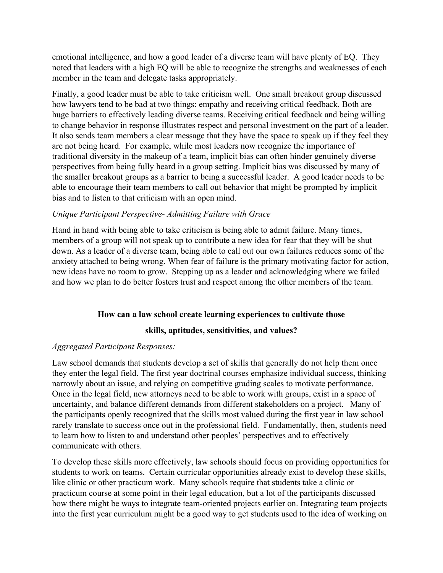emotional intelligence, and how a good leader of a diverse team will have plenty of EQ. They noted that leaders with a high EQ will be able to recognize the strengths and weaknesses of each member in the team and delegate tasks appropriately.

Finally, a good leader must be able to take criticism well. One small breakout group discussed how lawyers tend to be bad at two things: empathy and receiving critical feedback. Both are huge barriers to effectively leading diverse teams. Receiving critical feedback and being willing to change behavior in response illustrates respect and personal investment on the part of a leader. It also sends team members a clear message that they have the space to speak up if they feel they are not being heard. For example, while most leaders now recognize the importance of traditional diversity in the makeup of a team, implicit bias can often hinder genuinely diverse perspectives from being fully heard in a group setting. Implicit bias was discussed by many of the smaller breakout groups as a barrier to being a successful leader. A good leader needs to be able to encourage their team members to call out behavior that might be prompted by implicit bias and to listen to that criticism with an open mind.

#### *Unique Participant Perspective- Admitting Failure with Grace*

Hand in hand with being able to take criticism is being able to admit failure. Many times, members of a group will not speak up to contribute a new idea for fear that they will be shut down. As a leader of a diverse team, being able to call out our own failures reduces some of the anxiety attached to being wrong. When fear of failure is the primary motivating factor for action, new ideas have no room to grow. Stepping up as a leader and acknowledging where we failed and how we plan to do better fosters trust and respect among the other members of the team.

#### **How can a law school create learning experiences to cultivate those**

#### **skills, aptitudes, sensitivities, and values?**

#### *Aggregated Participant Responses:*

Law school demands that students develop a set of skills that generally do not help them once they enter the legal field. The first year doctrinal courses emphasize individual success, thinking narrowly about an issue, and relying on competitive grading scales to motivate performance. Once in the legal field, new attorneys need to be able to work with groups, exist in a space of uncertainty, and balance different demands from different stakeholders on a project. Many of the participants openly recognized that the skills most valued during the first year in law school rarely translate to success once out in the professional field. Fundamentally, then, students need to learn how to listen to and understand other peoples' perspectives and to effectively communicate with others.

To develop these skills more effectively, law schools should focus on providing opportunities for students to work on teams. Certain curricular opportunities already exist to develop these skills, like clinic or other practicum work. Many schools require that students take a clinic or practicum course at some point in their legal education, but a lot of the participants discussed how there might be ways to integrate team-oriented projects earlier on. Integrating team projects into the first year curriculum might be a good way to get students used to the idea of working on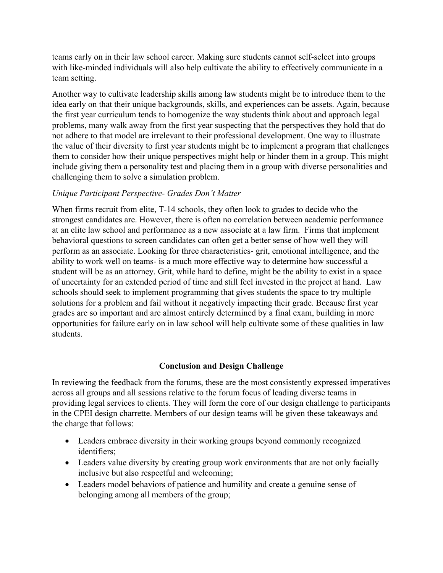teams early on in their law school career. Making sure students cannot self-select into groups with like-minded individuals will also help cultivate the ability to effectively communicate in a team setting.

Another way to cultivate leadership skills among law students might be to introduce them to the idea early on that their unique backgrounds, skills, and experiences can be assets. Again, because the first year curriculum tends to homogenize the way students think about and approach legal problems, many walk away from the first year suspecting that the perspectives they hold that do not adhere to that model are irrelevant to their professional development. One way to illustrate the value of their diversity to first year students might be to implement a program that challenges them to consider how their unique perspectives might help or hinder them in a group. This might include giving them a personality test and placing them in a group with diverse personalities and challenging them to solve a simulation problem.

#### *Unique Participant Perspective- Grades Don't Matter*

When firms recruit from elite, T-14 schools, they often look to grades to decide who the strongest candidates are. However, there is often no correlation between academic performance at an elite law school and performance as a new associate at a law firm. Firms that implement behavioral questions to screen candidates can often get a better sense of how well they will perform as an associate. Looking for three characteristics- grit, emotional intelligence, and the ability to work well on teams- is a much more effective way to determine how successful a student will be as an attorney. Grit, while hard to define, might be the ability to exist in a space of uncertainty for an extended period of time and still feel invested in the project at hand. Law schools should seek to implement programming that gives students the space to try multiple solutions for a problem and fail without it negatively impacting their grade. Because first year grades are so important and are almost entirely determined by a final exam, building in more opportunities for failure early on in law school will help cultivate some of these qualities in law students.

## **Conclusion and Design Challenge**

In reviewing the feedback from the forums, these are the most consistently expressed imperatives across all groups and all sessions relative to the forum focus of leading diverse teams in providing legal services to clients. They will form the core of our design challenge to participants in the CPEI design charrette. Members of our design teams will be given these takeaways and the charge that follows:

- Leaders embrace diversity in their working groups beyond commonly recognized identifiers;
- Leaders value diversity by creating group work environments that are not only facially inclusive but also respectful and welcoming;
- Leaders model behaviors of patience and humility and create a genuine sense of belonging among all members of the group;